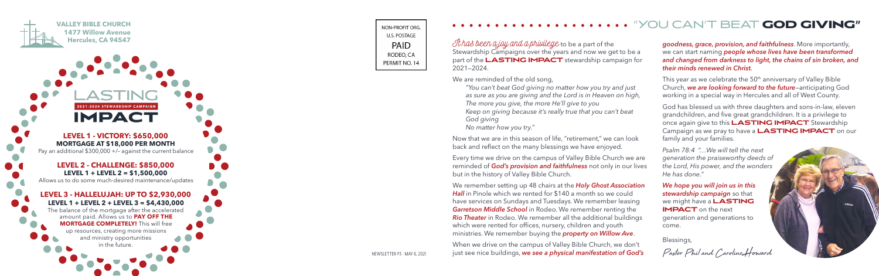It has been a joy and a privilege to be a part of the Stewardship Campaigns over the years and now we get to be a part of the **LASTING IMPACT** stewardship campaign for 2021—2024.

We are reminded of the old song.

*"You can't beat God giving no matter how you try and just as sure as you are giving and the Lord is in Heaven on high, The more you give, the more He'll give to you Keep on giving because it's really true that you can't beat God giving No matter how you try."*

Now that we are in this season of life, "retirement," we can look back and reflect on the many blessings we have enjoyed.

Every time we drive on the campus of Valley Bible Church we are reminded of *God's provision and faithfulness* not only in our lives but in the history of Valley Bible Church.

We remember setting up 48 chairs at the *Holy Ghost Association*  **Hall** in Pinole which we rented for \$140 a month so we could have services on Sundays and Tuesdays. We remember leasing *Garretson Middle School* in Rodeo. We remember renting the *Rio Theater* in Rodeo. We remember all the additional buildings which were rented for offices, nursery, children and youth ministries. We remember buying the *property on Willow Ave* .

This year as we celebrate the 50<sup>th</sup> anniversary of Valley Bible Church, *we are looking forward to the future*—anticipating God working in a special way in Hercules and all of West County.

When we drive on the campus of Valley Bible Church, we don't just see nice buildings, *we see a physical manifestation of God's* 

**LEVEL 1 - VICTORY: \$650,000 MORTGAGE AT \$18,000 PER MONTH** Pay an additional \$300,000 +/– against the current balance

2021-2024 STEWARDSHIP CAMPAIGN **IMPACT** 

**LEVEL 2 - CHALLENGE: \$850,000 LEVEL 1 + LEVEL 2 = \$1,500,000** Allows us to do some much-desired maintenance/updates

#### **LEVEL 3 - HALLELUJAH: UP TO \$2,930,000 LEVEL 1 + LEVEL 2 + LEVEL 3 = \$4,430,000** The balance of the mortgage after the accelerated

amount paid. Allows us to **PAY OFF THE MORTGAGE COMPLETELY!** This will free up resources, creating more missions and ministry opportunities in the future.

NON-PROFIT ORG **U.S. POSTAGE** PAID RODEO, CA PERMIT NO. 14

NEWSLETTER #3 - MAY 6, 2021



## "YOU CAN'T BEAT **GOD GIVING"**

*goodness, grace, provision, and faithfulness*. More importantly, we can start naming *people whose lives have been transformed and changed from darkness to light, the chains of sin broken, and their minds renewed in Christ.*

God has blessed us with three daughters and sons-in-law, eleven grandchildren, and five great grandchildren. It is a privilege to once again give to this **LASTING IMPACT** Stewardship Campaign as we pray to have a **LASTING IMPACT** on our family and your families.

*Psalm 78:4 "…We will tell the next generation the praiseworthy deeds of the Lord, His power, and the wonders He has done."*

*We hope you will join us in this stewardship campaign* so that we might have a **LASTING IMPACT** on the next generation and generations to come.

Blessings,

Pastor Phil and Caroline Howard